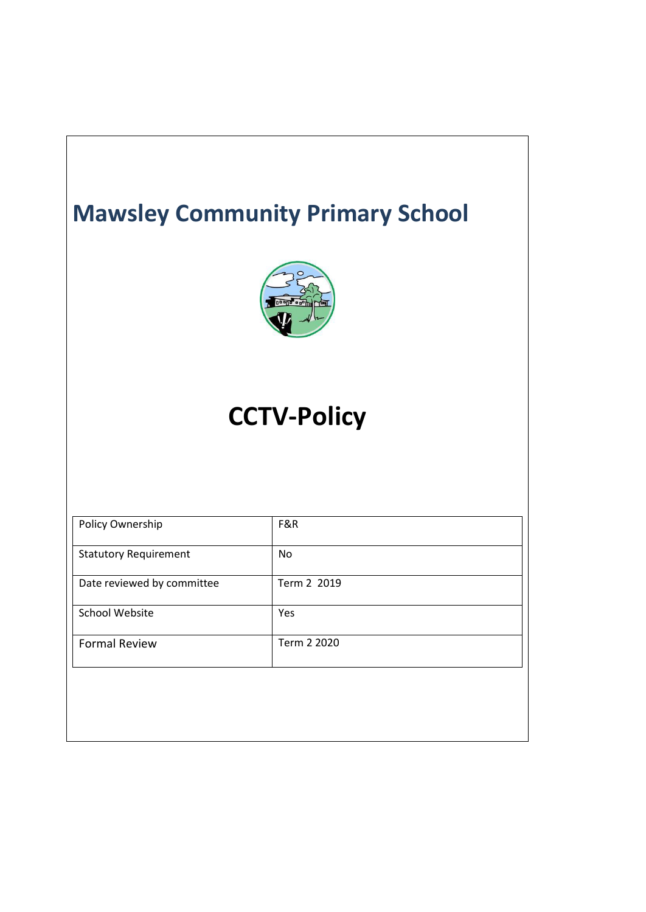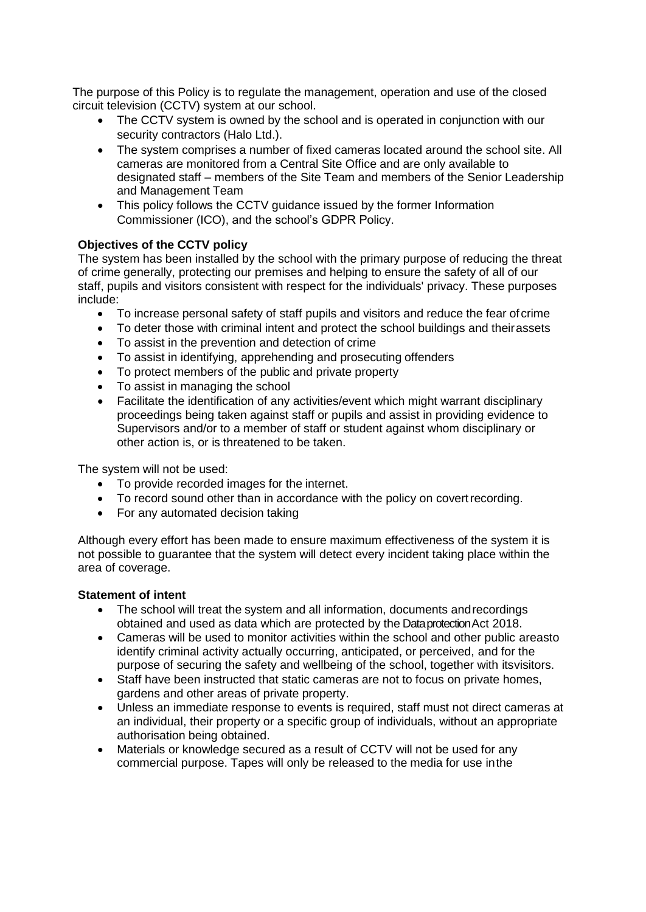The purpose of this Policy is to regulate the management, operation and use of the closed circuit television (CCTV) system at our school.

- The CCTV system is owned by the school and is operated in conjunction with our security contractors (Halo Ltd.).
- The system comprises a number of fixed cameras located around the school site. All cameras are monitored from a Central Site Office and are only available to designated staff – members of the Site Team and members of the Senior Leadership and Management Team
- This policy follows the CCTV guidance issued by the former Information Commissioner (ICO), and the school's GDPR Policy.

### **Objectives of the CCTV policy**

The system has been installed by the school with the primary purpose of reducing the threat of crime generally, protecting our premises and helping to ensure the safety of all of our staff, pupils and visitors consistent with respect for the individuals' privacy. These purposes include:

- To increase personal safety of staff pupils and visitors and reduce the fear of crime
- To deter those with criminal intent and protect the school buildings and theirassets
- To assist in the prevention and detection of crime
- To assist in identifying, apprehending and prosecuting offenders
- To protect members of the public and private property
- To assist in managing the school
- Facilitate the identification of any activities/event which might warrant disciplinary proceedings being taken against staff or pupils and assist in providing evidence to Supervisors and/or to a member of staff or student against whom disciplinary or other action is, or is threatened to be taken.

The system will not be used:

- To provide recorded images for the internet.
- To record sound other than in accordance with the policy on covert recording.
- For any automated decision taking

Although every effort has been made to ensure maximum effectiveness of the system it is not possible to guarantee that the system will detect every incident taking place within the area of coverage.

# **Statement of intent**

- The school will treat the system and all information, documents andrecordings obtained and used as data which are protected by the DataprotectionAct 2018.
- Cameras will be used to monitor activities within the school and other public areasto identify criminal activity actually occurring, anticipated, or perceived, and for the purpose of securing the safety and wellbeing of the school, together with itsvisitors.
- Staff have been instructed that static cameras are not to focus on private homes, gardens and other areas of private property.
- Unless an immediate response to events is required, staff must not direct cameras at an individual, their property or a specific group of individuals, without an appropriate authorisation being obtained.
- Materials or knowledge secured as a result of CCTV will not be used for any commercial purpose. Tapes will only be released to the media for use inthe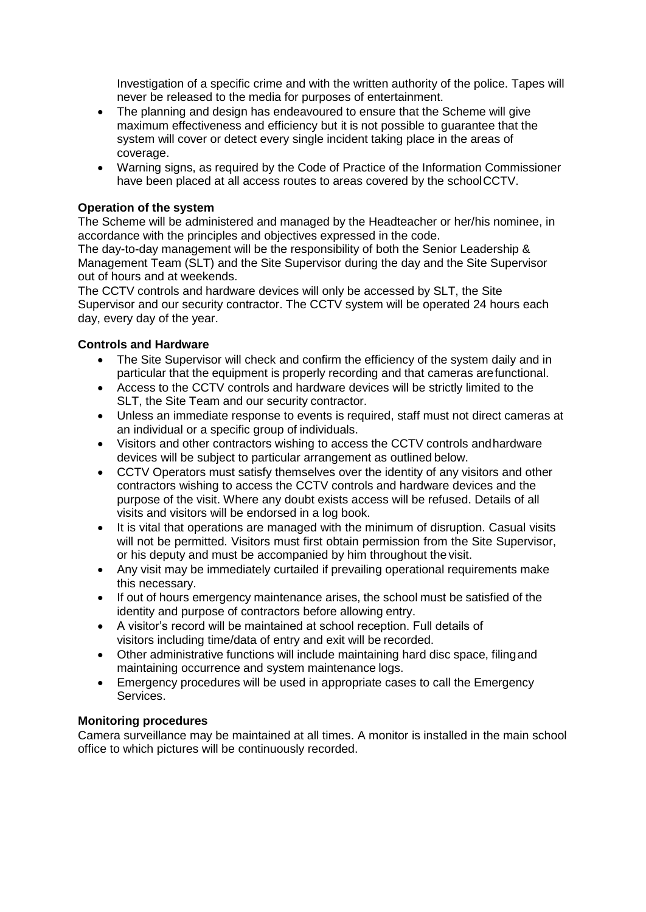Investigation of a specific crime and with the written authority of the police. Tapes will never be released to the media for purposes of entertainment.

- The planning and design has endeavoured to ensure that the Scheme will give maximum effectiveness and efficiency but it is not possible to guarantee that the system will cover or detect every single incident taking place in the areas of coverage.
- Warning signs, as required by the Code of Practice of the Information Commissioner have been placed at all access routes to areas covered by the schoolCCTV.

# **Operation of the system**

The Scheme will be administered and managed by the Headteacher or her/his nominee, in accordance with the principles and objectives expressed in the code.

The day-to-day management will be the responsibility of both the Senior Leadership & Management Team (SLT) and the Site Supervisor during the day and the Site Supervisor out of hours and at weekends.

The CCTV controls and hardware devices will only be accessed by SLT, the Site Supervisor and our security contractor. The CCTV system will be operated 24 hours each day, every day of the year.

### **Controls and Hardware**

- The Site Supervisor will check and confirm the efficiency of the system daily and in particular that the equipment is properly recording and that cameras arefunctional.
- Access to the CCTV controls and hardware devices will be strictly limited to the SLT, the Site Team and our security contractor.
- Unless an immediate response to events is required, staff must not direct cameras at an individual or a specific group of individuals.
- Visitors and other contractors wishing to access the CCTV controls andhardware devices will be subject to particular arrangement as outlined below.
- CCTV Operators must satisfy themselves over the identity of any visitors and other contractors wishing to access the CCTV controls and hardware devices and the purpose of the visit. Where any doubt exists access will be refused. Details of all visits and visitors will be endorsed in a log book.
- It is vital that operations are managed with the minimum of disruption. Casual visits will not be permitted. Visitors must first obtain permission from the Site Supervisor, or his deputy and must be accompanied by him throughout the visit.
- Any visit may be immediately curtailed if prevailing operational requirements make this necessary.
- If out of hours emergency maintenance arises, the school must be satisfied of the identity and purpose of contractors before allowing entry.
- A visitor's record will be maintained at school reception. Full details of visitors including time/data of entry and exit will be recorded.
- Other administrative functions will include maintaining hard disc space, filingand maintaining occurrence and system maintenance logs.
- Emergency procedures will be used in appropriate cases to call the Emergency Services.

### **Monitoring procedures**

Camera surveillance may be maintained at all times. A monitor is installed in the main school office to which pictures will be continuously recorded.